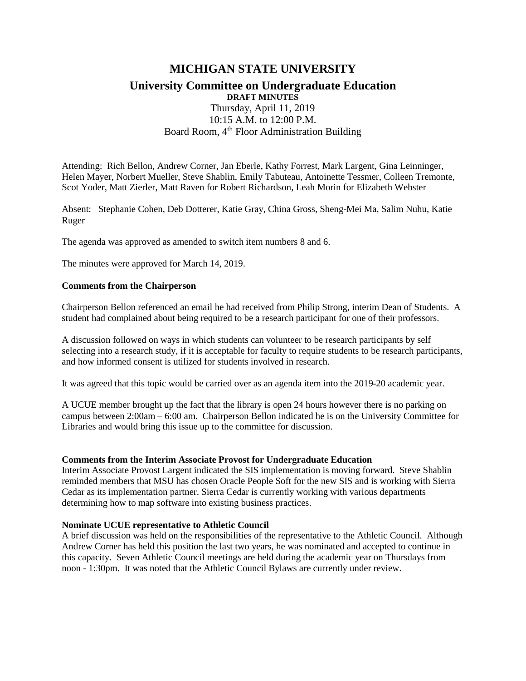# **MICHIGAN STATE UNIVERSITY University Committee on Undergraduate Education DRAFT MINUTES**  Thursday, April 11, 2019 10:15 A.M. to 12:00 P.M.

### Board Room, 4<sup>th</sup> Floor Administration Building

Attending: Rich Bellon, Andrew Corner, Jan Eberle, Kathy Forrest, Mark Largent, Gina Leinninger, Helen Mayer, Norbert Mueller, Steve Shablin, Emily Tabuteau, Antoinette Tessmer, Colleen Tremonte, Scot Yoder, Matt Zierler, Matt Raven for Robert Richardson, Leah Morin for Elizabeth Webster

Absent: Stephanie Cohen, Deb Dotterer, Katie Gray, China Gross, Sheng-Mei Ma, Salim Nuhu, Katie Ruger

The agenda was approved as amended to switch item numbers 8 and 6.

The minutes were approved for March 14, 2019.

#### **Comments from the Chairperson**

Chairperson Bellon referenced an email he had received from Philip Strong, interim Dean of Students. A student had complained about being required to be a research participant for one of their professors.

A discussion followed on ways in which students can volunteer to be research participants by self selecting into a research study, if it is acceptable for faculty to require students to be research participants, and how informed consent is utilized for students involved in research.

It was agreed that this topic would be carried over as an agenda item into the 2019-20 academic year.

A UCUE member brought up the fact that the library is open 24 hours however there is no parking on campus between 2:00am – 6:00 am. Chairperson Bellon indicated he is on the University Committee for Libraries and would bring this issue up to the committee for discussion.

#### **Comments from the Interim Associate Provost for Undergraduate Education**

Interim Associate Provost Largent indicated the SIS implementation is moving forward. Steve Shablin reminded members that MSU has chosen Oracle People Soft for the new SIS and is working with Sierra Cedar as its implementation partner. Sierra Cedar is currently working with various departments determining how to map software into existing business practices.

#### **Nominate UCUE representative to Athletic Council**

A brief discussion was held on the responsibilities of the representative to the Athletic Council. Although Andrew Corner has held this position the last two years, he was nominated and accepted to continue in this capacity. Seven Athletic Council meetings are held during the academic year on Thursdays from noon - 1:30pm. It was noted that the Athletic Council Bylaws are currently under review.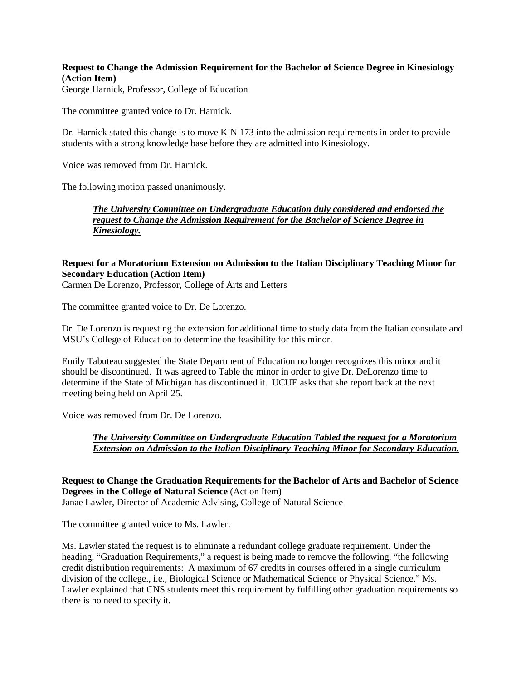**Request to Change the Admission Requirement for the Bachelor of Science Degree in Kinesiology (Action Item)**

George Harnick, Professor, College of Education

The committee granted voice to Dr. Harnick.

Dr. Harnick stated this change is to move KIN 173 into the admission requirements in order to provide students with a strong knowledge base before they are admitted into Kinesiology.

Voice was removed from Dr. Harnick.

The following motion passed unanimously.

*The University Committee on Undergraduate Education duly considered and endorsed the request to Change the Admission Requirement for the Bachelor of Science Degree in Kinesiology.*

# **Request for a Moratorium Extension on Admission to the Italian Disciplinary Teaching Minor for Secondary Education (Action Item)**

Carmen De Lorenzo, Professor, College of Arts and Letters

The committee granted voice to Dr. De Lorenzo.

Dr. De Lorenzo is requesting the extension for additional time to study data from the Italian consulate and MSU's College of Education to determine the feasibility for this minor.

Emily Tabuteau suggested the State Department of Education no longer recognizes this minor and it should be discontinued. It was agreed to Table the minor in order to give Dr. DeLorenzo time to determine if the State of Michigan has discontinued it. UCUE asks that she report back at the next meeting being held on April 25.

Voice was removed from Dr. De Lorenzo.

*The University Committee on Undergraduate Education Tabled the request for a Moratorium Extension on Admission to the Italian Disciplinary Teaching Minor for Secondary Education.*

**Request to Change the Graduation Requirements for the Bachelor of Arts and Bachelor of Science Degrees in the College of Natural Science** (Action Item) Janae Lawler, Director of Academic Advising, College of Natural Science

The committee granted voice to Ms. Lawler.

Ms. Lawler stated the request is to eliminate a redundant college graduate requirement. Under the heading, "Graduation Requirements," a request is being made to remove the following, "the following credit distribution requirements: A maximum of 67 credits in courses offered in a single curriculum division of the college., i.e., Biological Science or Mathematical Science or Physical Science." Ms. Lawler explained that CNS students meet this requirement by fulfilling other graduation requirements so there is no need to specify it.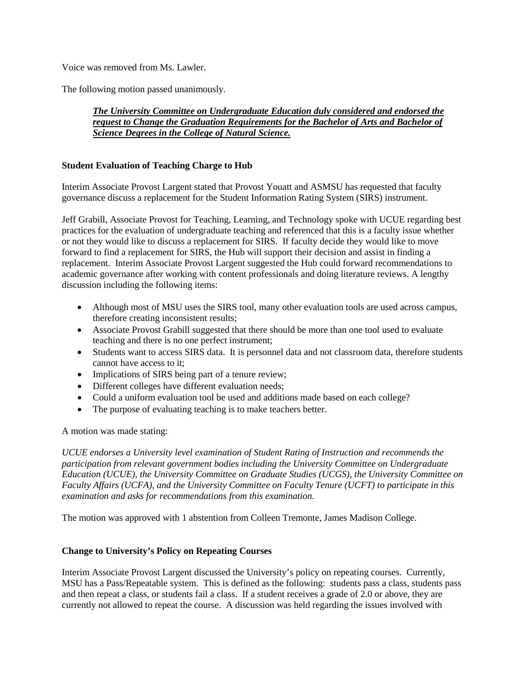Voice was removed from Ms. Lawler.

The following motion passed unanimously.

### *The University Committee on Undergraduate Education duly considered and endorsed the request to Change the Graduation Requirements for the Bachelor of Arts and Bachelor of Science Degrees in the College of Natural Science.*

# **Student Evaluation of Teaching Charge to Hub**

Interim Associate Provost Largent stated that Provost Youatt and ASMSU has requested that faculty governance discuss a replacement for the Student Information Rating System (SIRS) instrument.

Jeff Grabill, Associate Provost for Teaching, Learning, and Technology spoke with UCUE regarding best practices for the evaluation of undergraduate teaching and referenced that this is a faculty issue whether or not they would like to discuss a replacement for SIRS. If faculty decide they would like to move forward to find a replacement for SIRS, the Hub will support their decision and assist in finding a replacement. Interim Associate Provost Largent suggested the Hub could forward recommendations to academic governance after working with content professionals and doing literature reviews. A lengthy discussion including the following items:

- Although most of MSU uses the SIRS tool, many other evaluation tools are used across campus, therefore creating inconsistent results;
- Associate Provost Grabill suggested that there should be more than one tool used to evaluate teaching and there is no one perfect instrument;
- Students want to access SIRS data. It is personnel data and not classroom data, therefore students cannot have access to it;
- Implications of SIRS being part of a tenure review;
- Different colleges have different evaluation needs;
- Could a uniform evaluation tool be used and additions made based on each college?
- The purpose of evaluating teaching is to make teachers better.

A motion was made stating:

*UCUE endorses a University level examination of Student Rating of Instruction and recommends the participation from relevant government bodies including the University Committee on Undergraduate Education (UCUE), the University Committee on Graduate Studies (UCGS), the University Committee on Faculty Affairs (UCFA), and the University Committee on Faculty Tenure (UCFT) to participate in this examination and asks for recommendations from this examination.*

The motion was approved with 1 abstention from Colleen Tremonte, James Madison College.

#### **Change to University's Policy on Repeating Courses**

Interim Associate Provost Largent discussed the University's policy on repeating courses. Currently, MSU has a Pass/Repeatable system. This is defined as the following: students pass a class, students pass and then repeat a class, or students fail a class. If a student receives a grade of 2.0 or above, they are currently not allowed to repeat the course. A discussion was held regarding the issues involved with